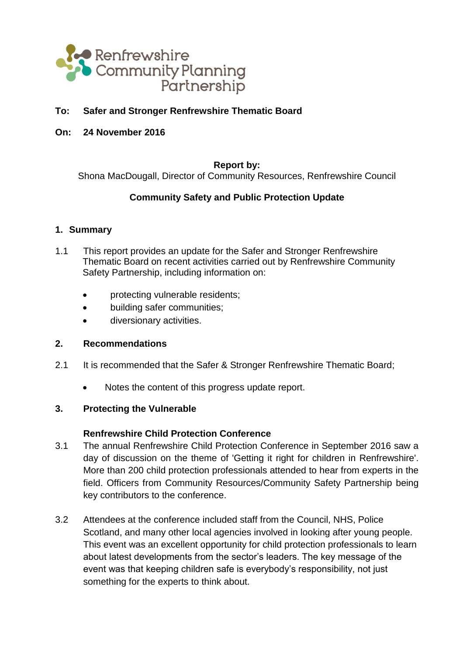

### **To: Safer and Stronger Renfrewshire Thematic Board**

**On: 24 November 2016**

#### **Report by:**

Shona MacDougall, Director of Community Resources, Renfrewshire Council

### **Community Safety and Public Protection Update**

#### **1. Summary**

- 1.1 This report provides an update for the Safer and Stronger Renfrewshire Thematic Board on recent activities carried out by Renfrewshire Community Safety Partnership, including information on:
	- protecting vulnerable residents;
	- building safer communities;
	- diversionary activities.

### **2. Recommendations**

- 2.1 It is recommended that the Safer & Stronger Renfrewshire Thematic Board;
	- Notes the content of this progress update report.

### **3. Protecting the Vulnerable**

### **Renfrewshire Child Protection Conference**

- 3.1 The annual Renfrewshire Child Protection Conference in September 2016 saw a day of discussion on the theme of 'Getting it right for children in Renfrewshire'. More than 200 child protection professionals attended to hear from experts in the field. Officers from Community Resources/Community Safety Partnership being key contributors to the conference.
- 3.2 Attendees at the conference included staff from the Council, NHS, Police Scotland, and many other local agencies involved in looking after young people. This event was an excellent opportunity for child protection professionals to learn about latest developments from the sector's leaders. The key message of the event was that keeping children safe is everybody's responsibility, not just something for the experts to think about.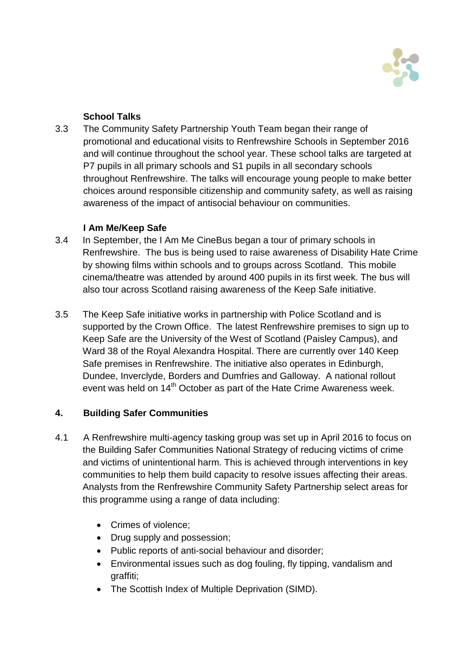

# **School Talks**

3.3 The Community Safety Partnership Youth Team began their range of promotional and educational visits to Renfrewshire Schools in September 2016 and will continue throughout the school year. These school talks are targeted at P7 pupils in all primary schools and S1 pupils in all secondary schools throughout Renfrewshire. The talks will encourage young people to make better choices around responsible citizenship and community safety, as well as raising awareness of the impact of antisocial behaviour on communities.

## **I Am Me/Keep Safe**

- 3.4 In September, the I Am Me CineBus began a tour of primary schools in Renfrewshire. The bus is being used to raise awareness of Disability Hate Crime by showing films within schools and to groups across Scotland. This mobile cinema/theatre was attended by around 400 pupils in its first week. The bus will also tour across Scotland raising awareness of the Keep Safe initiative.
- 3.5 The Keep Safe initiative works in partnership with Police Scotland and is supported by the Crown Office. The latest Renfrewshire premises to sign up to Keep Safe are the University of the West of Scotland (Paisley Campus), and Ward 38 of the Royal Alexandra Hospital. There are currently over 140 Keep Safe premises in Renfrewshire. The initiative also operates in Edinburgh, Dundee, Inverclyde, Borders and Dumfries and Galloway. A national rollout event was held on 14<sup>th</sup> October as part of the Hate Crime Awareness week.

# **4. Building Safer Communities**

- 4.1 A Renfrewshire multi-agency tasking group was set up in April 2016 to focus on the Building Safer Communities National Strategy of reducing victims of crime and victims of unintentional harm. This is achieved through interventions in key communities to help them build capacity to resolve issues affecting their areas. Analysts from the Renfrewshire Community Safety Partnership select areas for this programme using a range of data including:
	- Crimes of violence:
	- Drug supply and possession;
	- Public reports of anti-social behaviour and disorder;
	- Environmental issues such as dog fouling, fly tipping, vandalism and graffiti;
	- The Scottish Index of Multiple Deprivation (SIMD).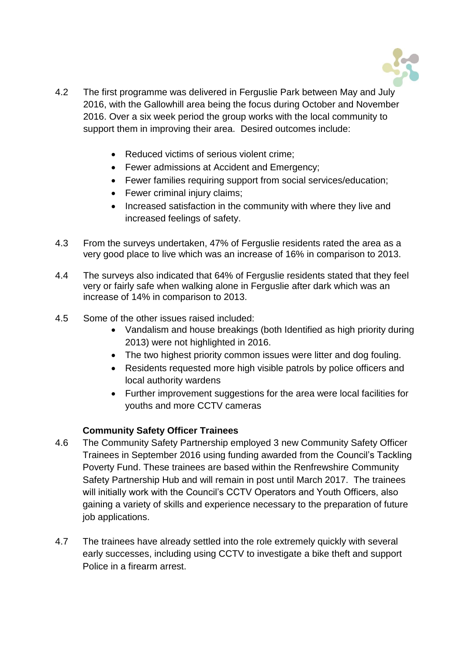

- 4.2 The first programme was delivered in Ferguslie Park between May and July 2016, with the Gallowhill area being the focus during October and November 2016. Over a six week period the group works with the local community to support them in improving their area. Desired outcomes include:
	- Reduced victims of serious violent crime;
	- Fewer admissions at Accident and Emergency;
	- Fewer families requiring support from social services/education;
	- Fewer criminal injury claims;
	- Increased satisfaction in the community with where they live and increased feelings of safety.
- 4.3 From the surveys undertaken, 47% of Ferguslie residents rated the area as a very good place to live which was an increase of 16% in comparison to 2013.
- 4.4 The surveys also indicated that 64% of Ferguslie residents stated that they feel very or fairly safe when walking alone in Ferguslie after dark which was an increase of 14% in comparison to 2013.
- 4.5 Some of the other issues raised included:
	- Vandalism and house breakings (both Identified as high priority during 2013) were not highlighted in 2016.
	- The two highest priority common issues were litter and dog fouling.
	- Residents requested more high visible patrols by police officers and local authority wardens
	- Further improvement suggestions for the area were local facilities for youths and more CCTV cameras

## **Community Safety Officer Trainees**

- 4.6 The Community Safety Partnership employed 3 new Community Safety Officer Trainees in September 2016 using funding awarded from the Council's Tackling Poverty Fund. These trainees are based within the Renfrewshire Community Safety Partnership Hub and will remain in post until March 2017. The trainees will initially work with the Council's CCTV Operators and Youth Officers, also gaining a variety of skills and experience necessary to the preparation of future job applications.
- 4.7 The trainees have already settled into the role extremely quickly with several early successes, including using CCTV to investigate a bike theft and support Police in a firearm arrest.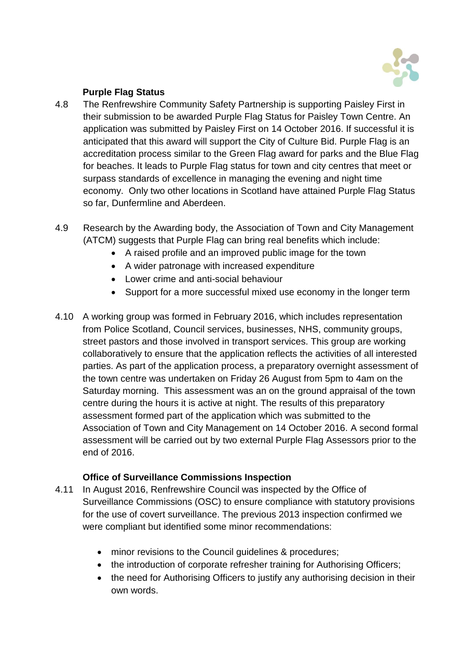

# **Purple Flag Status**

- 4.8 The Renfrewshire Community Safety Partnership is supporting Paisley First in their submission to be awarded Purple Flag Status for Paisley Town Centre. An application was submitted by Paisley First on 14 October 2016. If successful it is anticipated that this award will support the City of Culture Bid. Purple Flag is an accreditation process similar to the Green Flag award for parks and the Blue Flag for beaches. It leads to Purple Flag status for town and city centres that meet or surpass standards of excellence in managing the evening and night time economy. Only two other locations in Scotland have attained Purple Flag Status so far, Dunfermline and Aberdeen.
- 4.9 Research by the Awarding body, the Association of Town and City Management (ATCM) suggests that Purple Flag can bring real benefits which include:
	- A raised profile and an improved public image for the town
	- A wider patronage with increased expenditure
	- Lower crime and anti-social behaviour
	- Support for a more successful mixed use economy in the longer term
- 4.10 A working group was formed in February 2016, which includes representation from Police Scotland, Council services, businesses, NHS, community groups, street pastors and those involved in transport services. This group are working collaboratively to ensure that the application reflects the activities of all interested parties. As part of the application process, a preparatory overnight assessment of the town centre was undertaken on Friday 26 August from 5pm to 4am on the Saturday morning. This assessment was an on the ground appraisal of the town centre during the hours it is active at night. The results of this preparatory assessment formed part of the application which was submitted to the Association of Town and City Management on 14 October 2016. A second formal assessment will be carried out by two external Purple Flag Assessors prior to the end of 2016.

## **Office of Surveillance Commissions Inspection**

- 4.11 In August 2016, Renfrewshire Council was inspected by the Office of Surveillance Commissions (OSC) to ensure compliance with statutory provisions for the use of covert surveillance. The previous 2013 inspection confirmed we were compliant but identified some minor recommendations:
	- minor revisions to the Council guidelines & procedures;
	- the introduction of corporate refresher training for Authorising Officers;
	- the need for Authorising Officers to justify any authorising decision in their own words.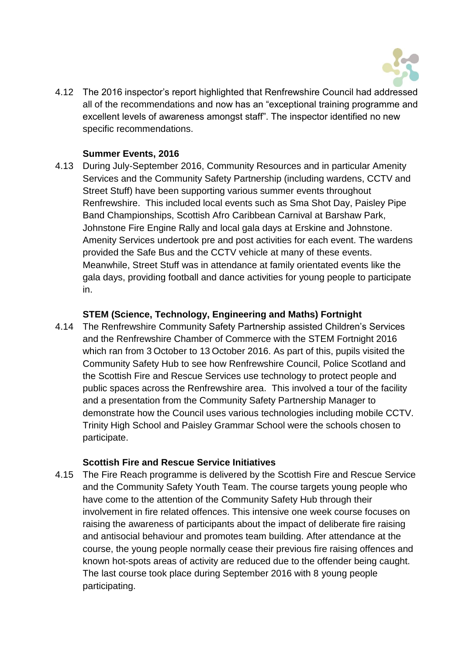

4.12 The 2016 inspector's report highlighted that Renfrewshire Council had addressed all of the recommendations and now has an "exceptional training programme and excellent levels of awareness amongst staff". The inspector identified no new specific recommendations.

## **Summer Events, 2016**

4.13 During July-September 2016, Community Resources and in particular Amenity Services and the Community Safety Partnership (including wardens, CCTV and Street Stuff) have been supporting various summer events throughout Renfrewshire. This included local events such as Sma Shot Day, Paisley Pipe Band Championships, Scottish Afro Caribbean Carnival at Barshaw Park, Johnstone Fire Engine Rally and local gala days at Erskine and Johnstone. Amenity Services undertook pre and post activities for each event. The wardens provided the Safe Bus and the CCTV vehicle at many of these events. Meanwhile, Street Stuff was in attendance at family orientated events like the gala days, providing football and dance activities for young people to participate in.

## **STEM (Science, Technology, Engineering and Maths) Fortnight**

4.14 The Renfrewshire Community Safety Partnership assisted Children's Services and the Renfrewshire Chamber of Commerce with the STEM Fortnight 2016 which ran from 3 October to 13 October 2016. As part of this, pupils visited the Community Safety Hub to see how Renfrewshire Council, Police Scotland and the Scottish Fire and Rescue Services use technology to protect people and public spaces across the Renfrewshire area. This involved a tour of the facility and a presentation from the Community Safety Partnership Manager to demonstrate how the Council uses various technologies including mobile CCTV. Trinity High School and Paisley Grammar School were the schools chosen to participate.

## **Scottish Fire and Rescue Service Initiatives**

4.15 The Fire Reach programme is delivered by the Scottish Fire and Rescue Service and the Community Safety Youth Team. The course targets young people who have come to the attention of the Community Safety Hub through their involvement in fire related offences. This intensive one week course focuses on raising the awareness of participants about the impact of deliberate fire raising and antisocial behaviour and promotes team building. After attendance at the course, the young people normally cease their previous fire raising offences and known hot-spots areas of activity are reduced due to the offender being caught. The last course took place during September 2016 with 8 young people participating.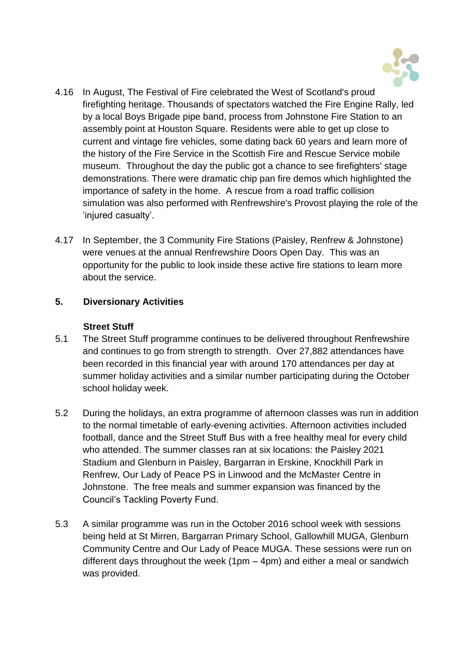

- 4.16 In August, The Festival of Fire celebrated the West of Scotland's proud firefighting heritage. Thousands of spectators watched the Fire Engine Rally, led by a local Boys Brigade pipe band, process from Johnstone Fire Station to an assembly point at Houston Square. Residents were able to get up close to current and vintage fire vehicles, some dating back 60 years and learn more of the history of the Fire Service in the Scottish Fire and Rescue Service mobile museum. Throughout the day the public got a chance to see firefighters' stage demonstrations. There were dramatic chip pan fire demos which highlighted the importance of safety in the home. A rescue from a road traffic collision simulation was also performed with Renfrewshire's Provost playing the role of the 'injured casualty'.
- 4.17 In September, the 3 Community Fire Stations (Paisley, Renfrew & Johnstone) were venues at the annual Renfrewshire Doors Open Day. This was an opportunity for the public to look inside these active fire stations to learn more about the service.

## **5. Diversionary Activities**

### **Street Stuff**

- 5.1 The Street Stuff programme continues to be delivered throughout Renfrewshire and continues to go from strength to strength. Over 27,882 attendances have been recorded in this financial year with around 170 attendances per day at summer holiday activities and a similar number participating during the October school holiday week.
- 5.2 During the holidays, an extra programme of afternoon classes was run in addition to the normal timetable of early-evening activities. Afternoon activities included football, dance and the Street Stuff Bus with a free healthy meal for every child who attended. The summer classes ran at six locations: the Paisley 2021 Stadium and Glenburn in Paisley, Bargarran in Erskine, Knockhill Park in Renfrew, Our Lady of Peace PS in Linwood and the McMaster Centre in Johnstone. The free meals and summer expansion was financed by the Council's Tackling Poverty Fund.
- 5.3 A similar programme was run in the October 2016 school week with sessions being held at St Mirren, Bargarran Primary School, Gallowhill MUGA, Glenburn Community Centre and Our Lady of Peace MUGA. These sessions were run on different days throughout the week (1pm – 4pm) and either a meal or sandwich was provided.